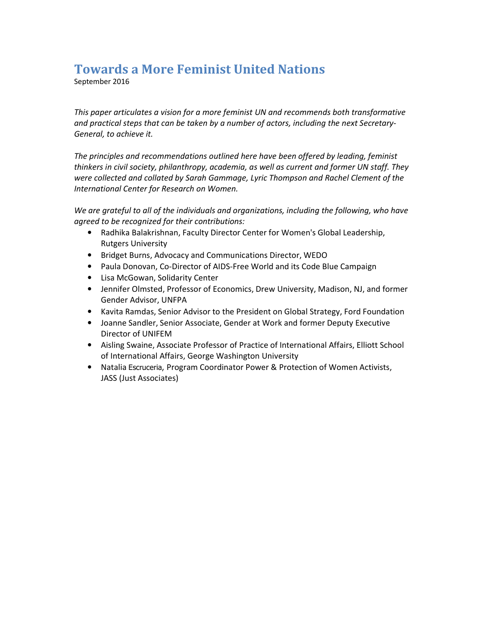# Towards a More Feminist United Nations

September 2016

This paper articulates a vision for a more feminist UN and recommends both transformative and practical steps that can be taken by a number of actors, including the next Secretary-General, to achieve it.

The principles and recommendations outlined here have been offered by leading, feminist thinkers in civil society, philanthropy, academia, as well as current and former UN staff. They were collected and collated by Sarah Gammage, Lyric Thompson and Rachel Clement of the International Center for Research on Women.

We are grateful to all of the individuals and organizations, including the following, who have agreed to be recognized for their contributions:

- Radhika Balakrishnan, Faculty Director Center for Women's Global Leadership, Rutgers University
- Bridget Burns, Advocacy and Communications Director, WEDO
- Paula Donovan, Co-Director of AIDS-Free World and its Code Blue Campaign
- Lisa McGowan, Solidarity Center
- Jennifer Olmsted, Professor of Economics, Drew University, Madison, NJ, and former Gender Advisor, UNFPA
- Kavita Ramdas, Senior Advisor to the President on Global Strategy, Ford Foundation
- Joanne Sandler, Senior Associate, Gender at Work and former Deputy Executive Director of UNIFEM
- Aisling Swaine, Associate Professor of Practice of International Affairs, Elliott School of International Affairs, George Washington University
- Natalia Escruceria, Program Coordinator Power & Protection of Women Activists, JASS (Just Associates)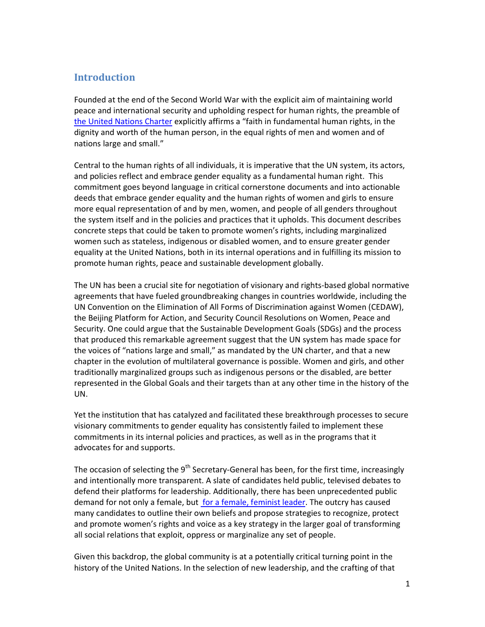# Introduction

Founded at the end of the Second World War with the explicit aim of maintaining world peace and international security and upholding respect for human rights, the preamble of the United Nations Charter explicitly affirms a "faith in fundamental human rights, in the dignity and worth of the human person, in the equal rights of men and women and of nations large and small."

Central to the human rights of all individuals, it is imperative that the UN system, its actors, and policies reflect and embrace gender equality as a fundamental human right. This commitment goes beyond language in critical cornerstone documents and into actionable deeds that embrace gender equality and the human rights of women and girls to ensure more equal representation of and by men, women, and people of all genders throughout the system itself and in the policies and practices that it upholds. This document describes concrete steps that could be taken to promote women's rights, including marginalized women such as stateless, indigenous or disabled women, and to ensure greater gender equality at the United Nations, both in its internal operations and in fulfilling its mission to promote human rights, peace and sustainable development globally.

The UN has been a crucial site for negotiation of visionary and rights-based global normative agreements that have fueled groundbreaking changes in countries worldwide, including the UN Convention on the Elimination of All Forms of Discrimination against Women (CEDAW), the Beijing Platform for Action, and Security Council Resolutions on Women, Peace and Security. One could argue that the Sustainable Development Goals (SDGs) and the process that produced this remarkable agreement suggest that the UN system has made space for the voices of "nations large and small," as mandated by the UN charter, and that a new chapter in the evolution of multilateral governance is possible. Women and girls, and other traditionally marginalized groups such as indigenous persons or the disabled, are better represented in the Global Goals and their targets than at any other time in the history of the UN.

Yet the institution that has catalyzed and facilitated these breakthrough processes to secure visionary commitments to gender equality has consistently failed to implement these commitments in its internal policies and practices, as well as in the programs that it advocates for and supports.

The occasion of selecting the  $9<sup>th</sup>$  Secretary-General has been, for the first time, increasingly and intentionally more transparent. A slate of candidates held public, televised debates to defend their platforms for leadership. Additionally, there has been unprecedented public demand for not only a female, but for a female, feminist leader. The outcry has caused many candidates to outline their own beliefs and propose strategies to recognize, protect and promote women's rights and voice as a key strategy in the larger goal of transforming all social relations that exploit, oppress or marginalize any set of people.

Given this backdrop, the global community is at a potentially critical turning point in the history of the United Nations. In the selection of new leadership, and the crafting of that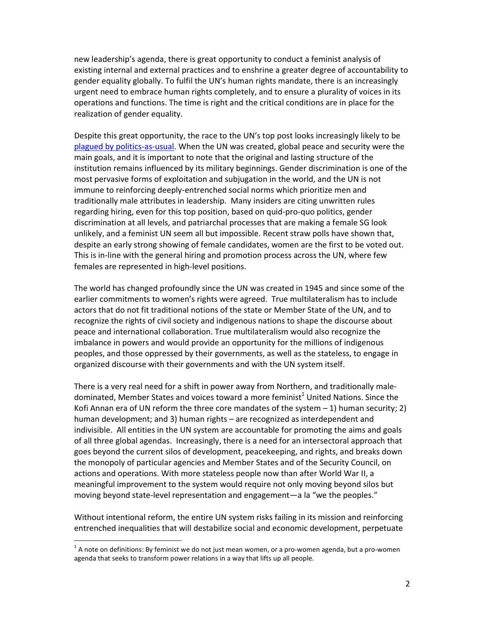new leadership's agenda, there is great opportunity to conduct a feminist analysis of existing internal and external practices and to enshrine a greater degree of accountability to gender equality globally. To fulfil the UN's human rights mandate, there is an increasingly urgent need to embrace human rights completely, and to ensure a plurality of voices in its operations and functions. The time is right and the critical conditions are in place for the realization of gender equality.

Despite this great opportunity, the race to the UN's top post looks increasingly likely to be plagued by politics-as-usual. When the UN was created, global peace and security were the main goals, and it is important to note that the original and lasting structure of the institution remains influenced by its military beginnings. Gender discrimination is one of the most pervasive forms of exploitation and subjugation in the world, and the UN is not immune to reinforcing deeply-entrenched social norms which prioritize men and traditionally male attributes in leadership. Many insiders are citing unwritten rules regarding hiring, even for this top position, based on quid-pro-quo politics, gender discrimination at all levels, and patriarchal processes that are making a female SG look unlikely, and a feminist UN seem all but impossible. Recent straw polls have shown that, despite an early strong showing of female candidates, women are the first to be voted out. This is in-line with the general hiring and promotion process across the UN, where few females are represented in high-level positions.

The world has changed profoundly since the UN was created in 1945 and since some of the earlier commitments to women's rights were agreed. True multilateralism has to include actors that do not fit traditional notions of the state or Member State of the UN, and to recognize the rights of civil society and indigenous nations to shape the discourse about peace and international collaboration. True multilateralism would also recognize the imbalance in powers and would provide an opportunity for the millions of indigenous peoples, and those oppressed by their governments, as well as the stateless, to engage in organized discourse with their governments and with the UN system itself.

There is a very real need for a shift in power away from Northern, and traditionally maledominated, Member States and voices toward a more feminist<sup>1</sup> United Nations. Since the Kofi Annan era of UN reform the three core mandates of the system – 1) human security; 2) human development; and 3) human rights – are recognized as interdependent and indivisible. All entities in the UN system are accountable for promoting the aims and goals of all three global agendas. Increasingly, there is a need for an intersectoral approach that goes beyond the current silos of development, peacekeeping, and rights, and breaks down the monopoly of particular agencies and Member States and of the Security Council, on actions and operations. With more stateless people now than after World War II, a meaningful improvement to the system would require not only moving beyond silos but moving beyond state-level representation and engagement—a la "we the peoples."

Without intentional reform, the entire UN system risks failing in its mission and reinforcing entrenched inequalities that will destabilize social and economic development, perpetuate

 $\overline{a}$ 

 $^{\text{1}}$  A note on definitions: By feminist we do not just mean women, or a pro-women agenda, but a pro-women agenda that seeks to transform power relations in a way that lifts up all people.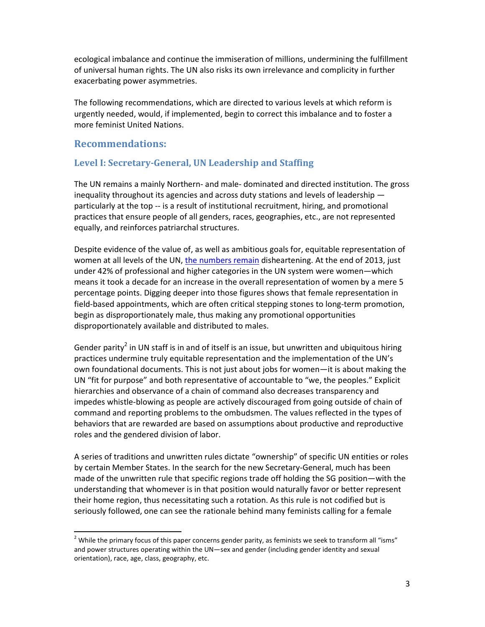ecological imbalance and continue the immiseration of millions, undermining the fulfillment of universal human rights. The UN also risks its own irrelevance and complicity in further exacerbating power asymmetries.

The following recommendations, which are directed to various levels at which reform is urgently needed, would, if implemented, begin to correct this imbalance and to foster a more feminist United Nations.

#### Recommendations:

l,

#### Level I: Secretary-General, UN Leadership and Staffing

The UN remains a mainly Northern- and male- dominated and directed institution. The gross inequality throughout its agencies and across duty stations and levels of leadership particularly at the top -- is a result of institutional recruitment, hiring, and promotional practices that ensure people of all genders, races, geographies, etc., are not represented equally, and reinforces patriarchal structures.

Despite evidence of the value of, as well as ambitious goals for, equitable representation of women at all levels of the UN, the numbers remain disheartening. At the end of 2013, just under 42% of professional and higher categories in the UN system were women—which means it took a decade for an increase in the overall representation of women by a mere 5 percentage points. Digging deeper into those figures shows that female representation in field-based appointments, which are often critical stepping stones to long-term promotion, begin as disproportionately male, thus making any promotional opportunities disproportionately available and distributed to males.

Gender parity<sup>2</sup> in UN staff is in and of itself is an issue, but unwritten and ubiquitous hiring practices undermine truly equitable representation and the implementation of the UN's own foundational documents. This is not just about jobs for women—it is about making the UN "fit for purpose" and both representative of accountable to "we, the peoples." Explicit hierarchies and observance of a chain of command also decreases transparency and impedes whistle-blowing as people are actively discouraged from going outside of chain of command and reporting problems to the ombudsmen. The values reflected in the types of behaviors that are rewarded are based on assumptions about productive and reproductive roles and the gendered division of labor.

A series of traditions and unwritten rules dictate "ownership" of specific UN entities or roles by certain Member States. In the search for the new Secretary-General, much has been made of the unwritten rule that specific regions trade off holding the SG position—with the understanding that whomever is in that position would naturally favor or better represent their home region, thus necessitating such a rotation. As this rule is not codified but is seriously followed, one can see the rationale behind many feminists calling for a female

<sup>&</sup>lt;sup>2</sup> While the primary focus of this paper concerns gender parity, as feminists we seek to transform all "isms" and power structures operating within the UN—sex and gender (including gender identity and sexual orientation), race, age, class, geography, etc.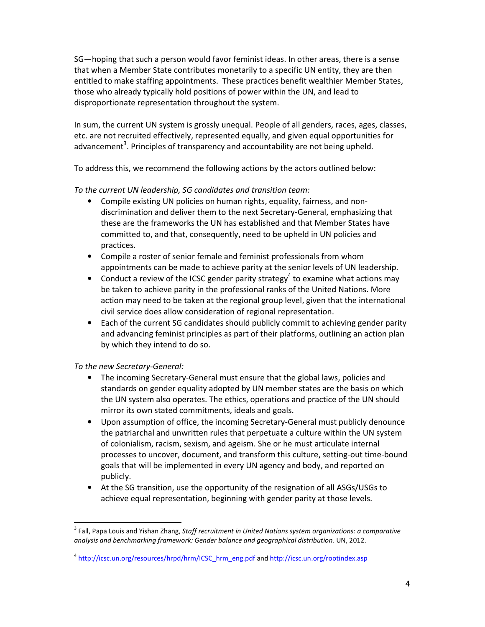SG—hoping that such a person would favor feminist ideas. In other areas, there is a sense that when a Member State contributes monetarily to a specific UN entity, they are then entitled to make staffing appointments. These practices benefit wealthier Member States, those who already typically hold positions of power within the UN, and lead to disproportionate representation throughout the system.

In sum, the current UN system is grossly unequal. People of all genders, races, ages, classes, etc. are not recruited effectively, represented equally, and given equal opportunities for advancement<sup>3</sup>. Principles of transparency and accountability are not being upheld.

To address this, we recommend the following actions by the actors outlined below:

#### To the current UN leadership, SG candidates and transition team:

- Compile existing UN policies on human rights, equality, fairness, and nondiscrimination and deliver them to the next Secretary-General, emphasizing that these are the frameworks the UN has established and that Member States have committed to, and that, consequently, need to be upheld in UN policies and practices.
- Compile a roster of senior female and feminist professionals from whom appointments can be made to achieve parity at the senior levels of UN leadership.
- Conduct a review of the ICSC gender parity strategy<sup>4</sup> to examine what actions may be taken to achieve parity in the professional ranks of the United Nations. More action may need to be taken at the regional group level, given that the international civil service does allow consideration of regional representation.
- Each of the current SG candidates should publicly commit to achieving gender parity and advancing feminist principles as part of their platforms, outlining an action plan by which they intend to do so.

#### To the new Secretary-General:

l,

- The incoming Secretary-General must ensure that the global laws, policies and standards on gender equality adopted by UN member states are the basis on which the UN system also operates. The ethics, operations and practice of the UN should mirror its own stated commitments, ideals and goals.
- Upon assumption of office, the incoming Secretary-General must publicly denounce the patriarchal and unwritten rules that perpetuate a culture within the UN system of colonialism, racism, sexism, and ageism. She or he must articulate internal processes to uncover, document, and transform this culture, setting-out time-bound goals that will be implemented in every UN agency and body, and reported on publicly.
- At the SG transition, use the opportunity of the resignation of all ASGs/USGs to achieve equal representation, beginning with gender parity at those levels.

 $^3$  Fall, Papa Louis and Yishan Zhang, Staff recruitment in United Nations system organizations: a comparative analysis and benchmarking framework: Gender balance and geographical distribution. UN, 2012.

<sup>&</sup>lt;sup>4</sup> http://icsc.un.org/resources/hrpd/hrm/ICSC\_hrm\_eng.pdf and http://icsc.un.org/rootindex.asp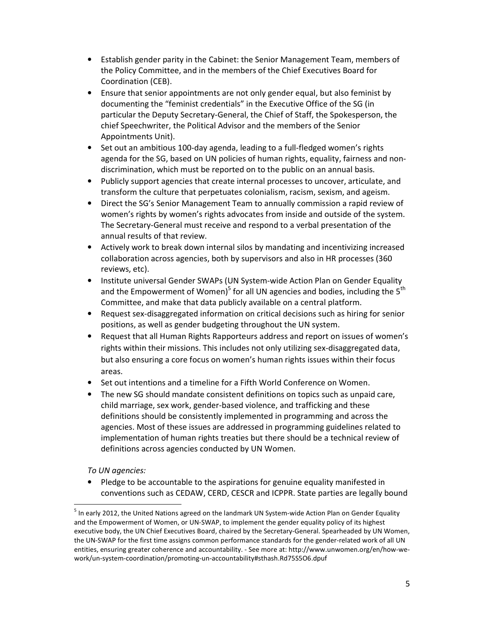- Establish gender parity in the Cabinet: the Senior Management Team, members of the Policy Committee, and in the members of the Chief Executives Board for Coordination (CEB).
- Ensure that senior appointments are not only gender equal, but also feminist by documenting the "feminist credentials" in the Executive Office of the SG (in particular the Deputy Secretary-General, the Chief of Staff, the Spokesperson, the chief Speechwriter, the Political Advisor and the members of the Senior Appointments Unit).
- Set out an ambitious 100-day agenda, leading to a full-fledged women's rights agenda for the SG, based on UN policies of human rights, equality, fairness and nondiscrimination, which must be reported on to the public on an annual basis.
- Publicly support agencies that create internal processes to uncover, articulate, and transform the culture that perpetuates colonialism, racism, sexism, and ageism.
- Direct the SG's Senior Management Team to annually commission a rapid review of women's rights by women's rights advocates from inside and outside of the system. The Secretary-General must receive and respond to a verbal presentation of the annual results of that review.
- Actively work to break down internal silos by mandating and incentivizing increased collaboration across agencies, both by supervisors and also in HR processes (360 reviews, etc).
- Institute universal Gender SWAPs (UN System-wide Action Plan on Gender Equality and the Empowerment of Women)<sup>5</sup> for all UN agencies and bodies, including the 5<sup>th</sup> Committee, and make that data publicly available on a central platform.
- Request sex-disaggregated information on critical decisions such as hiring for senior positions, as well as gender budgeting throughout the UN system.
- Request that all Human Rights Rapporteurs address and report on issues of women's rights within their missions. This includes not only utilizing sex-disaggregated data, but also ensuring a core focus on women's human rights issues within their focus areas.
- Set out intentions and a timeline for a Fifth World Conference on Women.
- The new SG should mandate consistent definitions on topics such as unpaid care, child marriage, sex work, gender-based violence, and trafficking and these definitions should be consistently implemented in programming and across the agencies. Most of these issues are addressed in programming guidelines related to implementation of human rights treaties but there should be a technical review of definitions across agencies conducted by UN Women.

#### To UN agencies:

l,

• Pledge to be accountable to the aspirations for genuine equality manifested in conventions such as CEDAW, CERD, CESCR and ICPPR. State parties are legally bound

<sup>&</sup>lt;sup>5</sup> In early 2012, the United Nations agreed on the landmark UN System-wide Action Plan on Gender Equality and the Empowerment of Women, or UN-SWAP, to implement the gender equality policy of its highest executive body, the UN Chief Executives Board, chaired by the Secretary-General. Spearheaded by UN Women, the UN-SWAP for the first time assigns common performance standards for the gender-related work of all UN entities, ensuring greater coherence and accountability. - See more at: http://www.unwomen.org/en/how-wework/un-system-coordination/promoting-un-accountability#sthash.Rd75S5O6.dpuf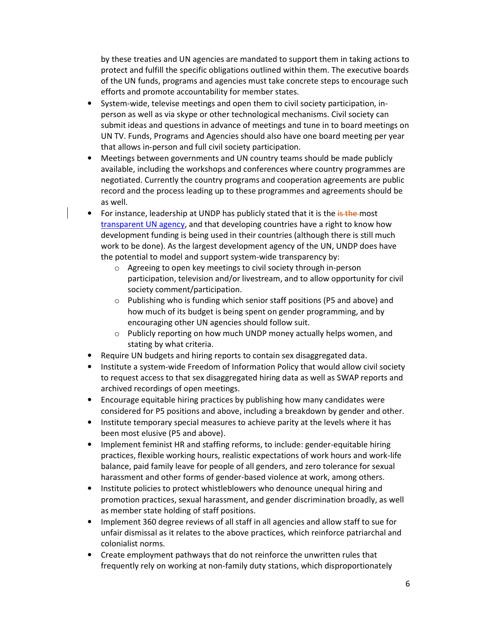by these treaties and UN agencies are mandated to support them in taking actions to protect and fulfill the specific obligations outlined within them. The executive boards of the UN funds, programs and agencies must take concrete steps to encourage such efforts and promote accountability for member states.

- System-wide, televise meetings and open them to civil society participation, inperson as well as via skype or other technological mechanisms. Civil society can submit ideas and questions in advance of meetings and tune in to board meetings on UN TV. Funds, Programs and Agencies should also have one board meeting per year that allows in-person and full civil society participation.
- Meetings between governments and UN country teams should be made publicly available, including the workshops and conferences where country programmes are negotiated. Currently the country programs and cooperation agreements are public record and the process leading up to these programmes and agreements should be as well.
- For instance, leadership at UNDP has publicly stated that it is the is the most transparent UN agency, and that developing countries have a right to know how development funding is being used in their countries (although there is still much work to be done). As the largest development agency of the UN, UNDP does have the potential to model and support system-wide transparency by:
	- o Agreeing to open key meetings to civil society through in-person participation, television and/or livestream, and to allow opportunity for civil society comment/participation.
	- o Publishing who is funding which senior staff positions (P5 and above) and how much of its budget is being spent on gender programming, and by encouraging other UN agencies should follow suit.
	- o Publicly reporting on how much UNDP money actually helps women, and stating by what criteria.
- Require UN budgets and hiring reports to contain sex disaggregated data.
- Institute a system-wide Freedom of Information Policy that would allow civil society to request access to that sex disaggregated hiring data as well as SWAP reports and archived recordings of open meetings.
- Encourage equitable hiring practices by publishing how many candidates were considered for P5 positions and above, including a breakdown by gender and other.
- Institute temporary special measures to achieve parity at the levels where it has been most elusive (P5 and above).
- Implement feminist HR and staffing reforms, to include: gender-equitable hiring practices, flexible working hours, realistic expectations of work hours and work-life balance, paid family leave for people of all genders, and zero tolerance for sexual harassment and other forms of gender-based violence at work, among others.
- Institute policies to protect whistleblowers who denounce unequal hiring and promotion practices, sexual harassment, and gender discrimination broadly, as well as member state holding of staff positions.
- Implement 360 degree reviews of all staff in all agencies and allow staff to sue for unfair dismissal as it relates to the above practices, which reinforce patriarchal and colonialist norms.
- Create employment pathways that do not reinforce the unwritten rules that frequently rely on working at non-family duty stations, which disproportionately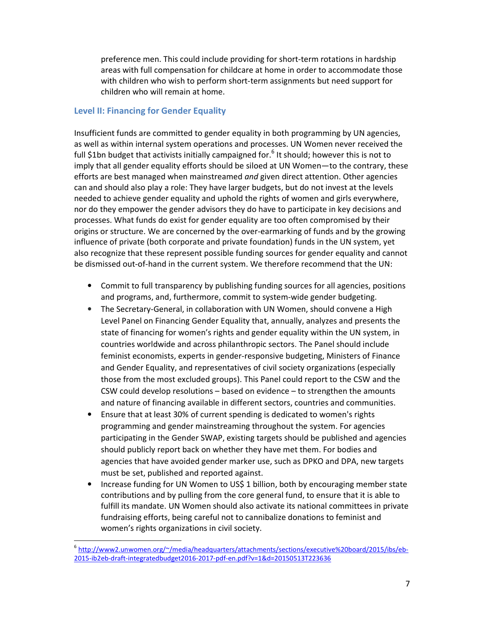preference men. This could include providing for short-term rotations in hardship areas with full compensation for childcare at home in order to accommodate those with children who wish to perform short-term assignments but need support for children who will remain at home.

#### Level II: Financing for Gender Equality

 $\overline{a}$ 

Insufficient funds are committed to gender equality in both programming by UN agencies, as well as within internal system operations and processes. UN Women never received the full \$1bn budget that activists initially campaigned for.<sup>6</sup> It should; however this is not to imply that all gender equality efforts should be siloed at UN Women—to the contrary, these efforts are best managed when mainstreamed and given direct attention. Other agencies can and should also play a role: They have larger budgets, but do not invest at the levels needed to achieve gender equality and uphold the rights of women and girls everywhere, nor do they empower the gender advisors they do have to participate in key decisions and processes. What funds do exist for gender equality are too often compromised by their origins or structure. We are concerned by the over-earmarking of funds and by the growing influence of private (both corporate and private foundation) funds in the UN system, yet also recognize that these represent possible funding sources for gender equality and cannot be dismissed out-of-hand in the current system. We therefore recommend that the UN:

- Commit to full transparency by publishing funding sources for all agencies, positions and programs, and, furthermore, commit to system-wide gender budgeting.
- The Secretary-General, in collaboration with UN Women, should convene a High Level Panel on Financing Gender Equality that, annually, analyzes and presents the state of financing for women's rights and gender equality within the UN system, in countries worldwide and across philanthropic sectors. The Panel should include feminist economists, experts in gender-responsive budgeting, Ministers of Finance and Gender Equality, and representatives of civil society organizations (especially those from the most excluded groups). This Panel could report to the CSW and the CSW could develop resolutions – based on evidence – to strengthen the amounts and nature of financing available in different sectors, countries and communities.
- Ensure that at least 30% of current spending is dedicated to women's rights programming and gender mainstreaming throughout the system. For agencies participating in the Gender SWAP, existing targets should be published and agencies should publicly report back on whether they have met them. For bodies and agencies that have avoided gender marker use, such as DPKO and DPA, new targets must be set, published and reported against.
- Increase funding for UN Women to US\$ 1 billion, both by encouraging member state contributions and by pulling from the core general fund, to ensure that it is able to fulfill its mandate. UN Women should also activate its national committees in private fundraising efforts, being careful not to cannibalize donations to feminist and women's rights organizations in civil society.

<sup>6</sup> http://www2.unwomen.org/~/media/headquarters/attachments/sections/executive%20board/2015/ibs/eb-2015-ib2eb-draft-integratedbudget2016-2017-pdf-en.pdf?v=1&d=20150513T223636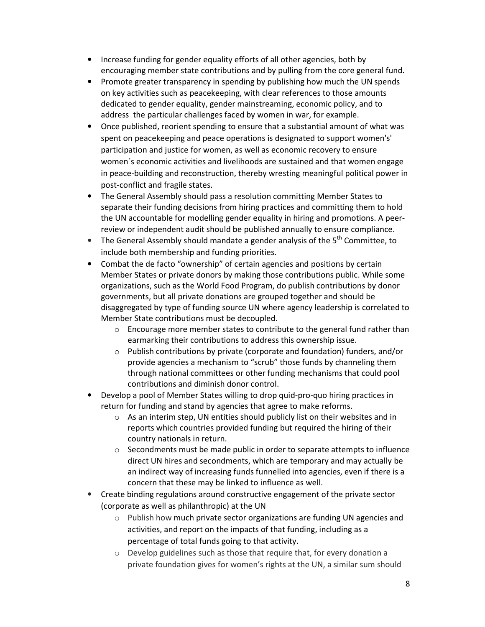- Increase funding for gender equality efforts of all other agencies, both by encouraging member state contributions and by pulling from the core general fund.
- Promote greater transparency in spending by publishing how much the UN spends on key activities such as peacekeeping, with clear references to those amounts dedicated to gender equality, gender mainstreaming, economic policy, and to address the particular challenges faced by women in war, for example.
- Once published, reorient spending to ensure that a substantial amount of what was spent on peacekeeping and peace operations is designated to support women's' participation and justice for women, as well as economic recovery to ensure women´s economic activities and livelihoods are sustained and that women engage in peace-building and reconstruction, thereby wresting meaningful political power in post-conflict and fragile states.
- The General Assembly should pass a resolution committing Member States to separate their funding decisions from hiring practices and committing them to hold the UN accountable for modelling gender equality in hiring and promotions. A peerreview or independent audit should be published annually to ensure compliance.
- The General Assembly should mandate a gender analysis of the  $5<sup>th</sup>$  Committee. to include both membership and funding priorities.
- Combat the de facto "ownership" of certain agencies and positions by certain Member States or private donors by making those contributions public. While some organizations, such as the World Food Program, do publish contributions by donor governments, but all private donations are grouped together and should be disaggregated by type of funding source UN where agency leadership is correlated to Member State contributions must be decoupled.
	- $\circ$  Encourage more member states to contribute to the general fund rather than earmarking their contributions to address this ownership issue.
	- $\circ$  Publish contributions by private (corporate and foundation) funders, and/or provide agencies a mechanism to "scrub" those funds by channeling them through national committees or other funding mechanisms that could pool contributions and diminish donor control.
- Develop a pool of Member States willing to drop quid-pro-quo hiring practices in return for funding and stand by agencies that agree to make reforms.
	- o As an interim step, UN entities should publicly list on their websites and in reports which countries provided funding but required the hiring of their country nationals in return.
	- o Secondments must be made public in order to separate attempts to influence direct UN hires and secondments, which are temporary and may actually be an indirect way of increasing funds funnelled into agencies, even if there is a concern that these may be linked to influence as well.
- Create binding regulations around constructive engagement of the private sector (corporate as well as philanthropic) at the UN
	- o Publish how much private sector organizations are funding UN agencies and activities, and report on the impacts of that funding, including as a percentage of total funds going to that activity.
	- o Develop guidelines such as those that require that, for every donation a private foundation gives for women's rights at the UN, a similar sum should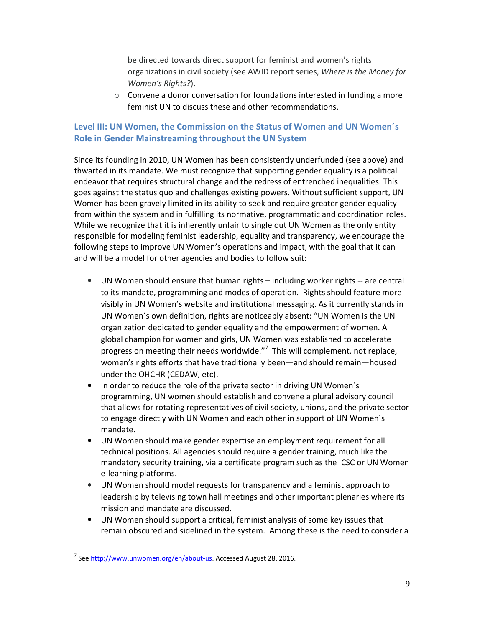be directed towards direct support for feminist and women's rights organizations in civil society (see AWID report series, Where is the Money for Women's Rights?).

 $\circ$  Convene a donor conversation for foundations interested in funding a more feminist UN to discuss these and other recommendations.

## Level III: UN Women, the Commission on the Status of Women and UN Women´s Role in Gender Mainstreaming throughout the UN System

Since its founding in 2010, UN Women has been consistently underfunded (see above) and thwarted in its mandate. We must recognize that supporting gender equality is a political endeavor that requires structural change and the redress of entrenched inequalities. This goes against the status quo and challenges existing powers. Without sufficient support, UN Women has been gravely limited in its ability to seek and require greater gender equality from within the system and in fulfilling its normative, programmatic and coordination roles. While we recognize that it is inherently unfair to single out UN Women as the only entity responsible for modeling feminist leadership, equality and transparency, we encourage the following steps to improve UN Women's operations and impact, with the goal that it can and will be a model for other agencies and bodies to follow suit:

- UN Women should ensure that human rights including worker rights -- are central to its mandate, programming and modes of operation. Rights should feature more visibly in UN Women's website and institutional messaging. As it currently stands in UN Women´s own definition, rights are noticeably absent: "UN Women is the UN organization dedicated to gender equality and the empowerment of women. A global champion for women and girls, UN Women was established to accelerate progress on meeting their needs worldwide."<sup>7</sup> This will complement, not replace, women's rights efforts that have traditionally been—and should remain—housed under the OHCHR (CEDAW, etc).
- In order to reduce the role of the private sector in driving UN Women´s programming, UN women should establish and convene a plural advisory council that allows for rotating representatives of civil society, unions, and the private sector to engage directly with UN Women and each other in support of UN Women´s mandate.
- UN Women should make gender expertise an employment requirement for all technical positions. All agencies should require a gender training, much like the mandatory security training, via a certificate program such as the ICSC or UN Women e-learning platforms.
- UN Women should model requests for transparency and a feminist approach to leadership by televising town hall meetings and other important plenaries where its mission and mandate are discussed.
- UN Women should support a critical, feminist analysis of some key issues that remain obscured and sidelined in the system. Among these is the need to consider a

l,

<sup>&</sup>lt;sup>7</sup> See http://www.unwomen.org/en/about-us. Accessed August 28, 2016.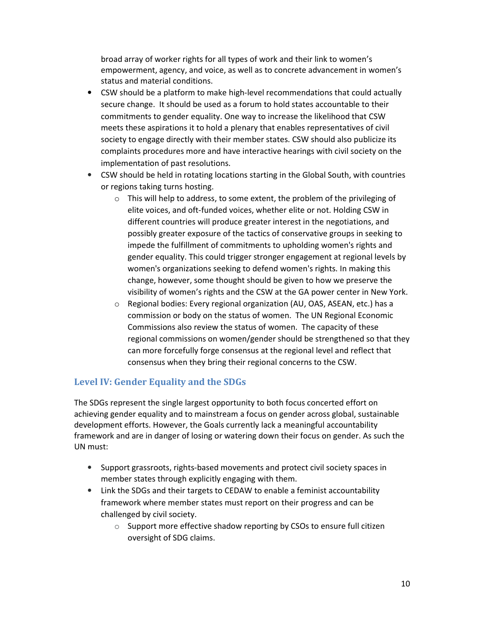broad array of worker rights for all types of work and their link to women's empowerment, agency, and voice, as well as to concrete advancement in women's status and material conditions.

- CSW should be a platform to make high-level recommendations that could actually secure change. It should be used as a forum to hold states accountable to their commitments to gender equality. One way to increase the likelihood that CSW meets these aspirations it to hold a plenary that enables representatives of civil society to engage directly with their member states. CSW should also publicize its complaints procedures more and have interactive hearings with civil society on the implementation of past resolutions.
- CSW should be held in rotating locations starting in the Global South, with countries or regions taking turns hosting.
	- o This will help to address, to some extent, the problem of the privileging of elite voices, and oft-funded voices, whether elite or not. Holding CSW in different countries will produce greater interest in the negotiations, and possibly greater exposure of the tactics of conservative groups in seeking to impede the fulfillment of commitments to upholding women's rights and gender equality. This could trigger stronger engagement at regional levels by women's organizations seeking to defend women's rights. In making this change, however, some thought should be given to how we preserve the visibility of women's rights and the CSW at the GA power center in New York.
	- o Regional bodies: Every regional organization (AU, OAS, ASEAN, etc.) has a commission or body on the status of women. The UN Regional Economic Commissions also review the status of women. The capacity of these regional commissions on women/gender should be strengthened so that they can more forcefully forge consensus at the regional level and reflect that consensus when they bring their regional concerns to the CSW.

## Level IV: Gender Equality and the SDGs

The SDGs represent the single largest opportunity to both focus concerted effort on achieving gender equality and to mainstream a focus on gender across global, sustainable development efforts. However, the Goals currently lack a meaningful accountability framework and are in danger of losing or watering down their focus on gender. As such the UN must:

- Support grassroots, rights-based movements and protect civil society spaces in member states through explicitly engaging with them.
- Link the SDGs and their targets to CEDAW to enable a feminist accountability framework where member states must report on their progress and can be challenged by civil society.
	- o Support more effective shadow reporting by CSOs to ensure full citizen oversight of SDG claims.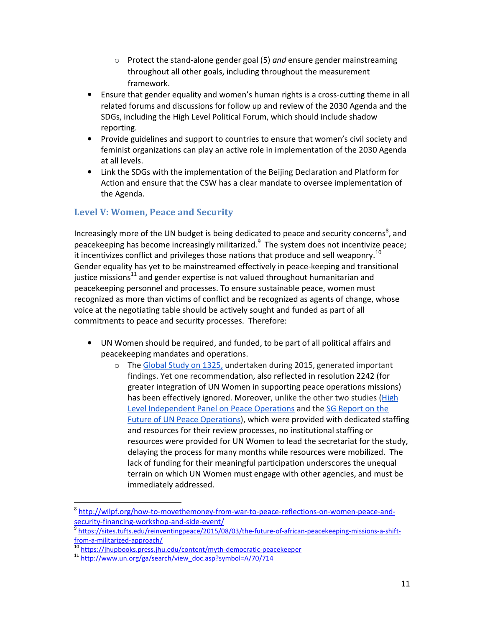- $\circ$  Protect the stand-alone gender goal (5) and ensure gender mainstreaming throughout all other goals, including throughout the measurement framework.
- Ensure that gender equality and women's human rights is a cross-cutting theme in all related forums and discussions for follow up and review of the 2030 Agenda and the SDGs, including the High Level Political Forum, which should include shadow reporting.
- Provide guidelines and support to countries to ensure that women's civil society and feminist organizations can play an active role in implementation of the 2030 Agenda at all levels.
- Link the SDGs with the implementation of the Beijing Declaration and Platform for Action and ensure that the CSW has a clear mandate to oversee implementation of the Agenda.

## Level V: Women, Peace and Security

Increasingly more of the UN budget is being dedicated to peace and security concerns<sup>8</sup>, and peacekeeping has become increasingly militarized.<sup>9</sup> The system does not incentivize peace; it incentivizes conflict and privileges those nations that produce and sell weaponry.<sup>10</sup> Gender equality has yet to be mainstreamed effectively in peace-keeping and transitional justice missions<sup>11</sup> and gender expertise is not valued throughout humanitarian and peacekeeping personnel and processes. To ensure sustainable peace, women must recognized as more than victims of conflict and be recognized as agents of change, whose voice at the negotiating table should be actively sought and funded as part of all commitments to peace and security processes. Therefore:

- UN Women should be required, and funded, to be part of all political affairs and peacekeeping mandates and operations.
	- o The Global Study on 1325, undertaken during 2015, generated important findings. Yet one recommendation, also reflected in resolution 2242 (for greater integration of UN Women in supporting peace operations missions) has been effectively ignored. Moreover, unlike the other two studies (High Level Independent Panel on Peace Operations and the SG Report on the Future of UN Peace Operations), which were provided with dedicated staffing and resources for their review processes, no institutional staffing or resources were provided for UN Women to lead the secretariat for the study, delaying the process for many months while resources were mobilized. The lack of funding for their meaningful participation underscores the unequal terrain on which UN Women must engage with other agencies, and must be immediately addressed.

l,

<sup>&</sup>lt;sup>8</sup> http://wilpf.org/how-to-movethemoney-from-war-to-peace-reflections-on-women-peace-andsecurity-financing-workshop-and-side-event/

<sup>9</sup> https://sites.tufts.edu/reinventingpeace/2015/08/03/the-future-of-african-peacekeeping-missions-a-shiftfrom-a-militarized-approach/

<sup>&</sup>lt;sup>10</sup> https://jhupbooks.press.jhu.edu/content/myth-democratic-peacekeeper

<sup>11</sup> http://www.un.org/ga/search/view\_doc.asp?symbol=A/70/714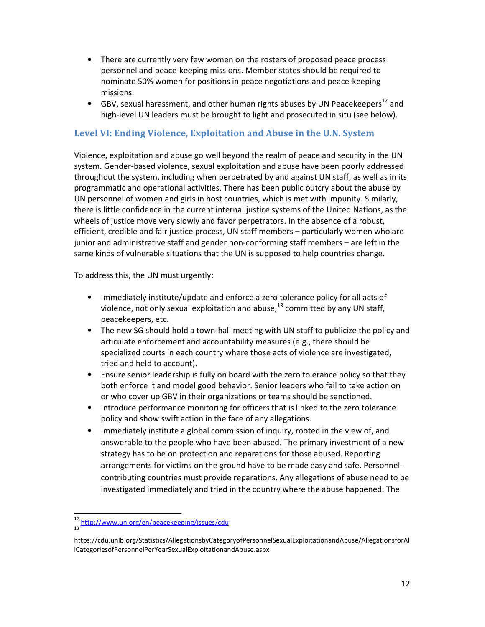- There are currently very few women on the rosters of proposed peace process personnel and peace-keeping missions. Member states should be required to nominate 50% women for positions in peace negotiations and peace-keeping missions.
- GBV, sexual harassment, and other human rights abuses by UN Peacekeepers<sup>12</sup> and high-level UN leaders must be brought to light and prosecuted in situ (see below).

## Level VI: Ending Violence, Exploitation and Abuse in the U.N. System

Violence, exploitation and abuse go well beyond the realm of peace and security in the UN system. Gender-based violence, sexual exploitation and abuse have been poorly addressed throughout the system, including when perpetrated by and against UN staff, as well as in its programmatic and operational activities. There has been public outcry about the abuse by UN personnel of women and girls in host countries, which is met with impunity. Similarly, there is little confidence in the current internal justice systems of the United Nations, as the wheels of justice move very slowly and favor perpetrators. In the absence of a robust, efficient, credible and fair justice process, UN staff members – particularly women who are junior and administrative staff and gender non-conforming staff members – are left in the same kinds of vulnerable situations that the UN is supposed to help countries change.

To address this, the UN must urgently:

- Immediately institute/update and enforce a zero tolerance policy for all acts of violence, not only sexual exploitation and abuse, $^{13}$  committed by any UN staff, peacekeepers, etc.
- The new SG should hold a town-hall meeting with UN staff to publicize the policy and articulate enforcement and accountability measures (e.g., there should be specialized courts in each country where those acts of violence are investigated, tried and held to account).
- Ensure senior leadership is fully on board with the zero tolerance policy so that they both enforce it and model good behavior. Senior leaders who fail to take action on or who cover up GBV in their organizations or teams should be sanctioned.
- Introduce performance monitoring for officers that is linked to the zero tolerance policy and show swift action in the face of any allegations.
- Immediately institute a global commission of inquiry, rooted in the view of, and answerable to the people who have been abused. The primary investment of a new strategy has to be on protection and reparations for those abused. Reporting arrangements for victims on the ground have to be made easy and safe. Personnelcontributing countries must provide reparations. Any allegations of abuse need to be investigated immediately and tried in the country where the abuse happened. The

1

<sup>12</sup> http://www.un.org/en/peacekeeping/issues/cdu 13

https://cdu.unlb.org/Statistics/AllegationsbyCategoryofPersonnelSexualExploitationandAbuse/AllegationsforAl lCategoriesofPersonnelPerYearSexualExploitationandAbuse.aspx